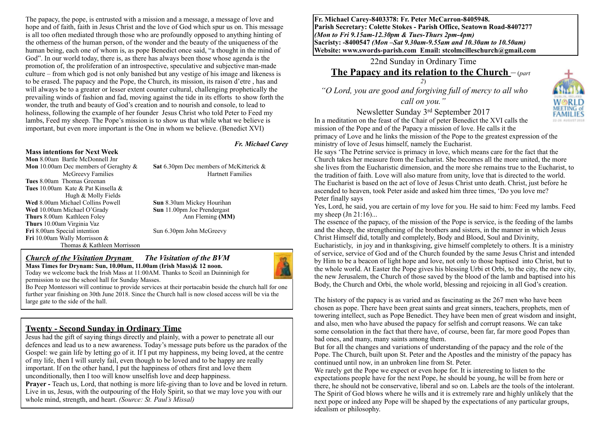The papacy, the pope, is entrusted with a mission and a message, a message of love and hope and of faith, faith in Jesus Christ and the love of God which spur us on. This message is all too often mediated through those who are profoundly opposed to anything hinting of the otherness of the human person, of the wonder and the beauty of the uniqueness of the human being, each one of whom is, as pope Benedict once said, "a thought in the mind of God". In our world today, there is, as there has always been those whose agenda is the promotion of, the proliferation of an introspective, speculative and subjective man-made culture – from which god is not only banished but any vestige of his image and likeness is to be erased. The papacy and the Pope, the Church, its mission, its raison d'etre , has and will always be to a greater or lesser extent counter cultural, challenging prophetically the prevailing winds of fashion and fad, moving against the tide in its efforts to show forth the wonder, the truth and beauty of God's creation and to nourish and console, to lead to holiness, following the example of her founder Jesus Christ who told Peter to Feed my lambs, Feed my sheep. The Pope's mission is to show us that while what we believe is important, but even more important is the One in whom we believe. (Benedict XVI)

#### *Fr. Michael Carey*

#### **Mass intentions for Next Week**

**Mon** 8.00am Bartle McDonnell Jnr **Mon** 10.00am Dec members of Geraghty & **Sat** 6.30pm Dec members of McKitterick & **Tues** 8.00am Thomas Greenan **Tues** 10.00amKate & Pat Kinsella & Hugh & Molly Fields **Wed** 8.00am Michael Collins Powell **Sun** 8.30am Mickey Hourihan **Wed** 10.00am Michael O'Grady **Sun** 11.00pm Joe Prendergast **Thurs** 8.00am Kathleen Foley Ann Fleming **(MM) Thurs** 10.00am Virginia Vaz **Fri** 8.00am Special intention Sun 6.30pm John McGreevy **Fri** 10.00am Wally Morrisson & Thomas & Kathleen Morrisson

McGreevy Families Hartnett Families

#### *Church of the Visitation Drynam**The Visitation of the BVM* **Mass Times for Drynam: Sun, 10.00am, 11.00am (Irish Mass)& 12 noon.**



Bo Peep Montessori will continue to provide services at their portacabin beside the church hall for one further year finishing on 30th June 2018. Since the Church hall is now closed access will be via the large gate to the side of the hall.

#### **Twenty - Second Sunday in Ordinary Time**

Jesus had the gift of saying things directly and plainly, with a power to penetrate all our defences and lead us to a new awareness. Today's message puts before us the paradox of the Gospel: we gain life by letting go of it. If I put my happiness, my being loved, at the centre of my life, then I will surely fail, even though to be loved and to be happy are really important. If on the other hand, I put the happiness of others first and love them unconditionally, then I too will know unselfish love and deep happiness. **Prayer - Teach us, Lord, that nothing is more life-giving than to love and be loved in return.** Live in us, Jesus, with the outpouring of the Holy Spirit, so that we may love you with our whole mind, strength, and heart. *(Source: St. Paul's Missal)*

**Fr. Michael Carey-8403378: Fr. Peter McCarron-8405948. Parish Secretary: Colette Stokes - Parish Office, Seatown Road-8407277**  *(Mon to Fri 9.15am-12.30pm & Tues-Thurs 2pm-4pm)*  **Sacristy: -8400547** *(Mon –Sat 9.30am-9.55am and 10.30am to 10.50am)* **Website: [www.swords-parish.com Email:](http://www.swords-parish.com%20%20email) stcolmcilleschurch@gmail.com**

22nd Sunday in Ordinary Time

# **The Papacy and its relation to the Church** – (*part*

*2*)  *"O Lord, you are good and forgiving full of mercy to all who call on you."* 

Newsletter Sunday 3rd September 2017

In a meditation on the feast of the Chair of peter Benedict the XVI calls the mission of the Pope and of the Papacy a mission of love. He calls it the primacy of Love and he links the mission of the Pope to the greatest expression of the ministry of love of Jesus himself, namely the Eucharist.

He says 'The Petrine service is primacy in love, which means care for the fact that the Church takes her measure from the Eucharist. She becomes all the more united, the more she lives from the Eucharistic dimension, and the more she remains true to the Eucharist, to the tradition of faith. Love will also mature from unity, love that is directed to the world. The Eucharist is based on the act of love of Jesus Christ unto death. Christ, just before he ascended to heaven, took Peter aside and asked him three times, 'Do you love me? Peter finally says

Yes, Lord, he said, you are certain of my love for you. He said to him: Feed my lambs. Feed my sheep  $(In 21:16)...$ 

The essence of the papacy, of the mission of the Pope is service, is the feeding of the lambs and the sheep, the strengthening of the brothers and sisters, in the manner in which Jesus Christ Himself did, totally and completely, Body and Blood, Soul and Divinity,

Eucharisticly, in joy and in thanksgiving, give himself completely to others. It is a ministry of service, service of God and of the Church founded by the same Jesus Christ and intended by Him to be a beacon of light hope and love, not only to those baptised into Christ, but to the whole world. At Easter the Pope gives his blessing Urbi et Orbi, to the city, the new city, the new Jerusalem, the Church of those saved by the blood of the lamb and baptised into his Body, the Church and Orbi, the whole world, blessing and rejoicing in all God's creation.

The history of the papacy is as varied and as fascinating as the 267 men who have been chosen as pope. There have been great saints and great sinners, teachers, prophets, men of towering intellect, such as Pope Benedict. They have been men of great wisdom and insight, and also, men who have abused the papacy for selfish and corrupt reasons. We can take some consolation in the fact that there have, of course, been far, far more good Popes than bad ones, and many, many saints among them.

But for all the changes and variations of understanding of the papacy and the role of the Pope. The Church, built upon St. Peter and the Apostles and the ministry of the papacy has continued until now, in an unbroken line from St. Peter.

We rarely get the Pope we expect or even hope for. It is interesting to listen to the expectations people have for the next Pope, he should be young, he will be from here or there, he should not be conservative, liberal and so on. Labels are the tools of the intolerant. The Spirit of God blows where he wills and it is extremely rare and highly unlikely that the next pope or indeed any Pope will be shaped by the expectations of any particular groups, idealism or philosophy.